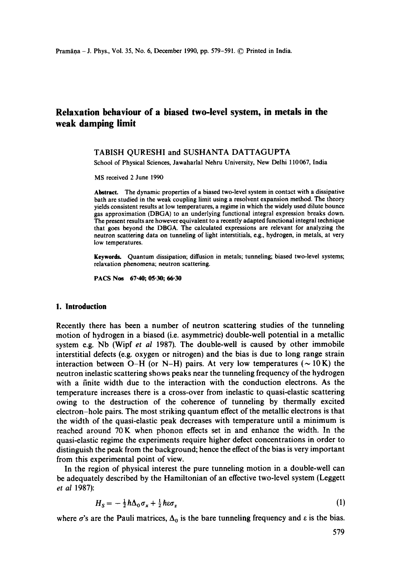# **Relaxation behaviour of a biased two-level system, in metals in the weak damping limit**

## TABISH QURESHI and SUSHANTA DATTAGUPTA

School of Physical Sciences, Jawaharlal Nehru University, New Delhi 110067, India

MS received 2 June 1990

**Abstract.** The dynamic properties of a biased two-level system in contact with a dissipative bath are studied in the weak coupling limit using a resolvent expansion method. The theory yields consistent results at low temperatures, a regime in which the widely used dilute bounce gas approximation (DBGA) to an underlying functional integral expression breaks down. The present results are however equivalent to a recently adapted functional integral technique **that** goes beyond the DBGA. The calculated expressions are relevant for analyzing the neutron scattering data on tunneling of light interstitials, e.g., hydrogen, in metals, at very low temperatures.

Keywords. Quantum dissipation; diffusion in metals; tunneling; biased two-level systems; relaxation phenomena; neutron scattering.

PACS Nos 67-40; 05-30; 66-30

#### **I. Introduction**

Recently there has been a number of neutron scattering studies of the tunneling motion of hydrogen in a biased (i.e. asymmetric) double-well potential in a metallic system e.g. Nb (Wipf *et al* 1987). The double-well is caused by other immobile interstitial defects (e.g. oxygen or nitrogen) and the bias is due to long range strain interaction between O-H (or N-H) pairs. At very low temperatures ( $\sim 10$ K) the neutron inelastic scattering shows peaks near the tunneling frequency of the hydrogen with a finite width due to the interaction with the conduction electrons. As the temperature increases there is a cross-over from inelastic to quasi-elastic scattering owing to the destruction of the coherence of tunneling by thermally excited electron-hole pairs. The most striking quantum effect of the metallic electrons is that the width of the quasi-elastic peak decreases with temperature until a minimum is reached around 70K when phonon effects set in and enhance the width. In the quasi-elastic regime the experiments require higher defect concentrations in order to distinguish the peak from the background; hence the effect of the bias is very important from this experimental point of view.

In the region of physical interest the pure tunneling motion in a double-well can be adequately described by the Hamiltonian of an effective two-level system (Leggett *et al* 1987):

$$
H_S = -\frac{1}{2}\hbar\Delta_0\sigma_x + \frac{1}{2}\hbar\varepsilon\sigma_z \tag{1}
$$

where  $\sigma$ 's are the Pauli matrices,  $\Delta_0$  is the bare tunneling frequency and  $\varepsilon$  is the bias.

 $\overline{a}$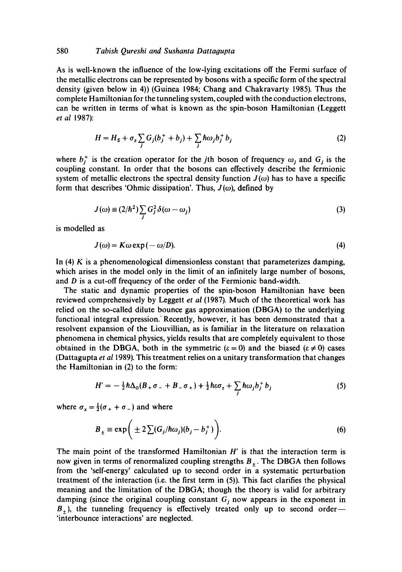# 580 **Tabish Qureshi and Sushanta Dattagupta**

As is well-known the influence of the low-lying excitations off the Fermi surface of the metallic electrons can be represented by bosons with a specific form of the spectral density (given below in 4)) (Guinea 1984; Chang and Chakravarty 1985). Thus the complete Hamiltonian for the tunneling system, coupled with the conduction electrons, can be written in terms of what is known as the spin-boson Hamiltonian (Leggett *et al* 1987):

$$
H = HS + \sigmaz \sum_j G_j (b_j^+ + b_j) + \sum_j \hbar \omega_j b_j^+ b_j
$$
 (2)

where  $b_j^+$  is the creation operator for the jth boson of frequency  $\omega_j$  and  $G_j$  is the coupling constant. In order that the bosons can effectively describe the fermionic system of metallic electrons the spectral density function  $J(\omega)$  has to have a specific form that describes 'Ohmic dissipation'. Thus,  $J(\omega)$ , defined by

$$
J(\omega) \equiv (2/\hbar^2) \sum_j G_j^2 \delta(\omega - \omega_j)
$$
 (3)

is modelled as

$$
J(\omega) = K\omega \exp(-\omega/D). \tag{4}
$$

In  $(4)$  K is a phenomenological dimensionless constant that parameterizes damping, which arises in the model only in the limit of an infinitely large number of bosons, and D is a cut-off frequency of the order of the Fermionic band-width.

The static and dynamic properties of the spin-boson Hamiltonian have been reviewed comprehensively by Leggett *et al* (1987). Much of the theoretical work has relied on the so-called dilute bounce gas approximation (DBGA) to the underlying functional integral expression.' Recently, however, it has been demonstrated that a resolvent expansion of the Liouvillian, as is familiar in the literature on relaxation phenomena in chemical physics, yields results that are completely equivalent to those obtained in the DBGA, both in the symmetric ( $\varepsilon = 0$ ) and the biased ( $\varepsilon \neq 0$ ) cases (Dattagupta *et a11989).* This treatment relies on a unitary transformation that changes the Hamiltonian in (2) to the form:

$$
H' = -\frac{1}{2}\hbar\Delta_0(B_+\sigma_- + B_-\sigma_+) + \frac{1}{2}\hbar\epsilon\sigma_z + \sum_j \hbar\omega_j b_j^+ b_j \tag{5}
$$

where  $\sigma_x = \frac{1}{2}(\sigma_+ + \sigma_-)$  and where

$$
B_{\pm} \equiv \exp\bigg(\pm 2\sum(G_j/\hbar\omega_j)(b_j - b_j^+)\bigg). \tag{6}
$$

The main point of the transformed Hamiltonian  $H'$  is that the interaction term is now given in terms of renormalized coupling strengths  $B_{\pm}$ . The DBGA then follows from the 'self-energy' calculated up to second order in a systematic perturbation treatment of the interaction (i.e. the first term in (5)). This fact clarifies the physical meaning and the limitation of the DBGA; though the theory is valid for arbitrary damping (since the original coupling constant  $G<sub>j</sub>$  now appears in the exponent in  $B_{+}$ ), the tunneling frequency is effectively treated only up to second order--'interbounce interactions' are neglected.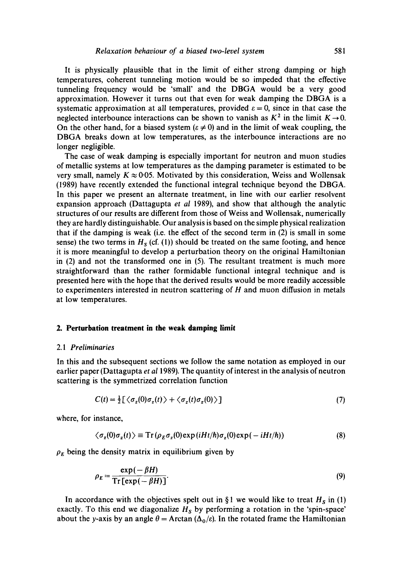It is physically plausible that in the limit of either strong damping or high temperatures, coherent tunneling motion would be so impeded that the effective tunneling frequency would be 'small' and the DBGA would be a very good approximation. However it turns out that even for weak damping the DBGA is a systematic approximation at all temperatures, provided  $\varepsilon = 0$ , since in that case the neglected interbounce interactions can be shown to vanish as  $K^2$  in the limit  $K \rightarrow 0$ . On the other hand, for a biased system ( $\varepsilon \neq 0$ ) and in the limit of weak coupling, the DBGA breaks down at low temperatures, as the interbounce interactions are no longer negligible.

The case of weak damping is especially important for neutron and muon studies of metallic systems at low temperatures as the damping parameter is estimated to be very small, namely  $K \approx 0.05$ . Motivated by this consideration, Weiss and Wollensak (1989) have recently extended the functional integral technique beyond the DBGA. In this paper we present an alternate treatment, in line with our earlier resolvent expansion approach (Dattagupta *et al* 1989), and show that although the analytic structures of our results are different from those of Weiss and Wollensak, numerically they are hardly distinguishable. Our analysis is based on the simple physical realization that if the damping is weak (i.e. the effect of the second term in (2) is small in some sense) the two terms in  $H<sub>S</sub>$  (cf. (1)) should be treated on the same footing, and hence it is more meaningful to develop a perturbation theory on the original Hamiltonian in (2) and not the transformed one in (5). The resultant treatment is much more straightforward than the rather formidable functional integral technique and is presented here with the hope that the derived results would be more readily accessible to experimenters interested in neutron scattering of  $H$  and muon diffusion in metals at low temperatures.

#### **2. Perturbation treatment in the weak damping limit**

#### 2.1 *Preliminaries*

In this and the subsequent sections we follow the same notation as employed in our earlier paper (Dattagupta *et al* 1989). The quantity of interest in the analysis of neutron scattering is the symmetrized correlation function

$$
C(t) = \frac{1}{2} \left[ \langle \sigma_z(0) \sigma_z(t) \rangle + \langle \sigma_z(t) \sigma_z(0) \rangle \right] \tag{7}
$$

where, for instance,

$$
\langle \sigma_z(0)\sigma_z(t) \rangle \equiv \text{Tr}(\rho_E \sigma_z(0) \exp(iHt/\hbar) \sigma_z(0) \exp(-iHt/\hbar)) \tag{8}
$$

 $\rho_E$  being the density matrix in equilibrium given by

$$
\rho_E = \frac{\exp(-\beta H)}{\operatorname{Tr}[\exp(-\beta H)]}.\tag{9}
$$

In accordance with the objectives spelt out in  $\S 1$  we would like to treat  $H_S$  in (1) exactly. To this end we diagonalize *Hs* by performing a rotation in the 'spin-space' about the y-axis by an angle  $\theta =$  Arctan ( $\Delta_0/e$ ). In the rotated frame the Hamiltonian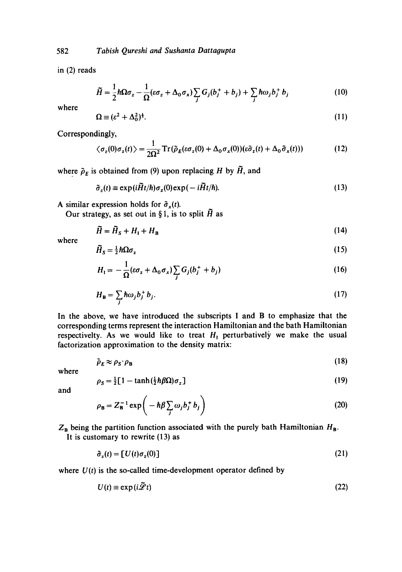in (2) reads

$$
\widetilde{H} = \frac{1}{2}\hbar\Omega\sigma_z - \frac{1}{\Omega}(\varepsilon\sigma_z + \Delta_0\sigma_x)\sum_j G_j(b_j^+ + b_j) + \sum_j \hbar\omega_j b_j^+ b_j \tag{10}
$$

where

$$
\Omega \equiv (\varepsilon^2 + \Delta_0^2)^{\frac{1}{2}}.\tag{11}
$$

Correspondingly,

$$
\langle \sigma_z(0) \sigma_z(t) \rangle = \frac{1}{2\Omega^2} \operatorname{Tr}(\tilde{\rho}_E(\varepsilon \sigma_z(0) + \Delta_0 \sigma_x(0))(\varepsilon \tilde{\sigma}_z(t) + \Delta_0 \tilde{\sigma}_x(t))) \tag{12}
$$

where  $\tilde{\rho}_E$  is obtained from (9) upon replacing H by  $\tilde{H}$ , and

$$
\tilde{\sigma}_z(t) \equiv \exp(i\tilde{H}t/\hbar)\sigma_z(0)\exp(-i\tilde{H}t/\hbar). \tag{13}
$$

A similar expression holds for  $\tilde{\sigma}_x(t)$ .

Our strategy, as set out in §1, is to split  $\tilde{H}$  as

$$
\tilde{H} = \tilde{H}_S + H_I + H_B \tag{14}
$$

where

$$
\widetilde{H}_{S} = \frac{1}{2} \hbar \Omega \sigma_{z} \tag{15}
$$

$$
H_1 = -\frac{1}{\Omega} (\varepsilon \sigma_z + \Delta_0 \sigma_x) \sum_j G_j (b_j^+ + b_j)
$$
 (16)

$$
H_{\mathbf{B}} = \sum_{j} \hbar \omega_{j} b_{j}^{+} b_{j}.
$$
 (17)

In the above, we have introduced the subscripts I and B to emphasize that the corresponding terms represent the interaction Hamiltonian and the bath Hamiitonian respectivelty. As we would like to treat  $H_1$  perturbatively we make the usual factorization approximation to the density matrix:

$$
\tilde{\rho}_E \approx \rho_S \cdot \rho_B \tag{18}
$$

where

$$
\rho_S = \frac{1}{2} \left[ 1 - \tanh\left(\frac{1}{2} \hbar \beta \Omega\right) \sigma_z \right] \tag{19}
$$

and

$$
\rho_{\mathbf{B}} = Z_{\mathbf{B}}^{-1} \exp\left(-\hbar\beta \sum_{j} \omega_{j} b_{j}^{+} b_{j}\right)
$$
 (20)

 $Z_B$  being the partition function associated with the purely bath Hamiltonian  $H_B$ .

It is customary to rewrite (13) as

$$
\tilde{\sigma}_z(t) = [U(t)\sigma_z(0)] \tag{21}
$$

where  $U(t)$  is the so-called time-development operator defined by

$$
U(t) \equiv \exp(i\tilde{\mathscr{L}}t) \tag{22}
$$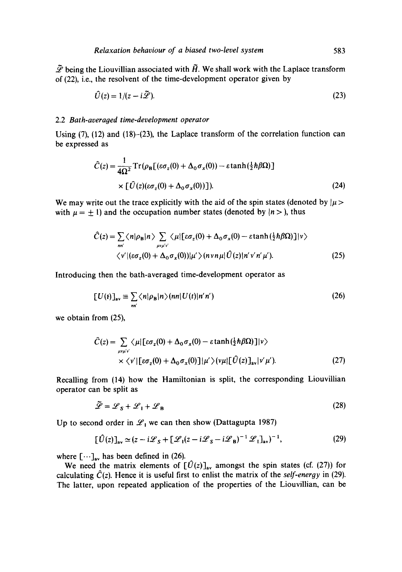$\tilde{\mathscr{L}}$  being the Liouvillian associated with  $\tilde{H}$ . We shall work with the Laplace transform of (22), i.e., the resoivent of the time-development operator given by

$$
\hat{U}(z) = 1/(z - i\tilde{\mathscr{L}}). \tag{23}
$$

## 2.2 *Bath-averaged time-development operator*

Using (7), (12) and (18)-(23), the Laplace transform of the correlation function can be expressed as

$$
\hat{C}(z) = \frac{1}{4\Omega^2} \operatorname{Tr}(\rho_{\mathbf{B}}[(\varepsilon \sigma_z(0) + \Delta_0 \sigma_x(0)) - \varepsilon \tanh(\frac{1}{2}\hbar \beta \Omega)]
$$
  
×  $[\hat{U}(z)(\varepsilon \sigma_z(0) + \Delta_0 \sigma_x(0))]$ ). (24)

We may write out the trace explicitly with the aid of the spin states (denoted by  $|\mu\rangle$ with  $\mu = \pm 1$ ) and the occupation number states (denoted by  $|n\rangle$ ), thus

$$
\hat{C}(z) = \sum_{nn'} \langle n | \rho_{\mathbf{B}} | n \rangle \sum_{\mu \nu \mu' \nu'} \langle \mu | [\epsilon \sigma_z(0) + \Delta_0 \sigma_x(0) - \epsilon \tanh(\frac{1}{2} \hbar \beta \Omega)] | \nu \rangle
$$
  

$$
\langle \nu' | (\epsilon \sigma_z(0) + \Delta_0 \sigma_x(0)) | \mu' \rangle (n \nu n \mu | \hat{U}(z) | n' \nu' n' \mu').
$$
 (25)

Introducing then the bath-averaged time-development operator as

$$
[U(t)]av \equiv \sum_{nn'} \langle n|\rho_B|n\rangle (nn|U(t)|n'n')
$$
 (26)

we obtain from (25),

$$
\hat{C}(z) = \sum_{\mu v \mu' v'} \langle \mu | [\varepsilon \sigma_z(0) + \Delta_0 \sigma_x(0) - \varepsilon \tanh(\frac{1}{2} \hbar \beta \Omega)] |v\rangle \times \langle v' | [\varepsilon \sigma_z(0) + \Delta_0 \sigma_x(0)] | \mu'\rangle (v\mu | [\hat{U}(z)]_{av} |v'\mu').
$$
\n(27)

Recalling from (14) how the Hamiltonian is split, the corresponding Liouvillian operator can be split as

$$
\tilde{\mathcal{L}} = \mathcal{L}_S + \mathcal{L}_1 + \mathcal{L}_B \tag{28}
$$

Up to second order in  $\mathcal{L}_1$  we can then show (Dattagupta 1987)

$$
\left[\hat{U}(z)\right]_{\rm av} \simeq (z - i\mathcal{L}_S + \left[\mathcal{L}_I(z - i\mathcal{L}_S - i\mathcal{L}_B)^{-1}\mathcal{L}_I\right]_{\rm av})^{-1},\tag{29}
$$

where  $[\cdots]_{av}$  has been defined in (26).

We need the matrix elements of  $[\hat{U}(z)]_{av}$  amongst the spin states (cf. (27)) for calculating  $\hat{C}(z)$ . Hence it is useful first to enlist the matrix of the *self-energy* in (29). The latter, upon repeated application of the properties of the Liouvillian, can be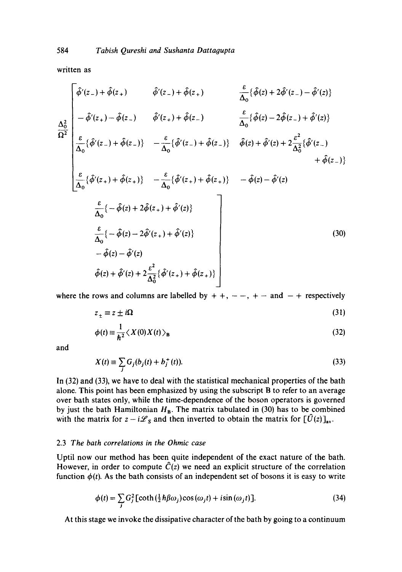written as  $\overline{\phantom{0}}$ 

$$
\hat{\phi}'(z_{-}) + \hat{\phi}(z_{+}) \qquad \hat{\phi}'(z_{-}) + \hat{\phi}(z_{+}) \qquad \frac{\varepsilon}{\Delta_{0}} \{\hat{\phi}(z) + 2\hat{\phi}'(z_{-}) - \hat{\phi}'(z)\}
$$
\n
$$
\frac{\Delta_{0}^{2}}{\Omega^{2}} \begin{vmatrix}\n\frac{\varepsilon}{\Delta_{0}} \{\hat{\phi}(z_{+}) - \hat{\phi}(z_{-}) & \hat{\phi}'(z_{+}) + \hat{\phi}(z_{-}) & \frac{\varepsilon}{\Delta_{0}} \{\hat{\phi}(z) - 2\hat{\phi}(z_{-}) + \hat{\phi}'(z)\} \\
\frac{\varepsilon}{\Delta_{0}} \{\hat{\phi}'(z_{-}) + \hat{\phi}(z_{-})\} & -\frac{\varepsilon}{\Delta_{0}} \{\hat{\phi}'(z_{-}) + \hat{\phi}(z_{-})\} & \hat{\phi}(z) + \hat{\phi}'(z) + 2\frac{\varepsilon^{2}}{\Delta_{0}^{2}} \{\hat{\phi}'(z_{-}) + \hat{\phi}(z_{-})\} \\
\frac{\varepsilon}{\Delta_{0}} \{\hat{\phi}'(z_{+}) + \hat{\phi}(z_{+})\} & -\frac{\varepsilon}{\Delta_{0}} \{\hat{\phi}'(z_{+}) + \hat{\phi}(z_{+})\} & -\hat{\phi}(z) - \hat{\phi}'(z)\}
$$
\n
$$
\frac{\varepsilon}{\Delta_{0}} \{-\hat{\phi}(z) + 2\hat{\phi}(z_{+}) + \hat{\phi}'(z)\}
$$
\n
$$
-\hat{\phi}(z) - 2\hat{\phi}'(z_{+}) + \hat{\phi}'(z)\}
$$
\n
$$
-\hat{\phi}(z) - \hat{\phi}'(z)
$$
\n
$$
\hat{\phi}(z) + \hat{\phi}'(z) + 2\frac{\varepsilon^{2}}{\Delta_{0}^{2}} \{\hat{\phi}'(z_{+}) + \hat{\phi}(z_{+})\}
$$
\n(30)

where the rows and columns are labelled by  $+ +$ ,  $- -$ ,  $+ -$  and  $- +$  respectively

$$
z_{\pm} \equiv z \pm i\Omega \tag{31}
$$

$$
\phi(t) \equiv \frac{1}{\hbar^2} \langle X(0) X(t) \rangle_B \tag{32}
$$

and

$$
X(t) = \sum_{j} G_{j}(b_{j}(t) + b_{j}^{+}(t)).
$$
\n(33)

In (32) and (33), we have to deal with the statistical mechanical properties of the bath alone. This point has been emphasized by using the subscript B to refer to an average over bath states only, while the time-dependence of the boson operators is governed by just the bath Hamiltonian  $H_B$ . The matrix tabulated in (30) has to be combined with the matrix for  $z - i\mathcal{L}_s$  and then inverted to obtain the matrix for  $[\hat{U}(z)]_{av}$ .

## 2.3 *The bath correlations in the Ohmic case*

Uptil now our method has been quite independent of the exact nature of the bath. However, in order to compute  $\hat{C}(z)$  we need an explicit structure of the correlation function  $\phi(t)$ . As the bath consists of an independent set of bosons it is easy to write

$$
\phi(t) = \sum_{j} G_j^2 \left[ \coth\left(\frac{1}{2} \hbar \beta \omega_j \right) \cos\left(\omega_j t\right) + i \sin\left(\omega_j t\right) \right]. \tag{34}
$$

At this stage we invoke the dissipative character of the bath by going to a continuum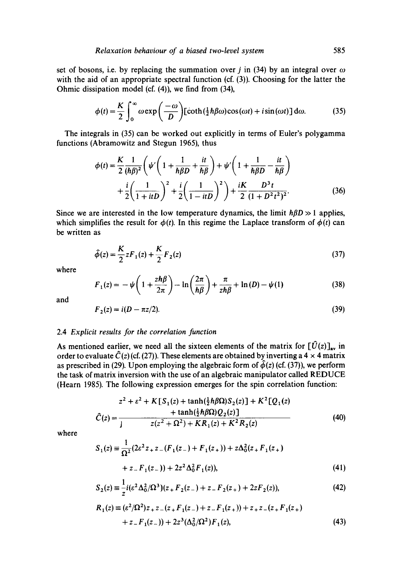set of bosons, i.e. by replacing the summation over *j* in (34) by an integral over  $\omega$ with the aid of an appropriate spectral function (cf. (3)). Choosing for the latter the Ohmic dissipation model (cf. (4)), we find from (34),

$$
\phi(t) = \frac{K}{2} \int_0^\infty \omega \exp\left(\frac{-\omega}{D}\right) [\coth(\frac{1}{2}\hbar\beta\omega)\cos(\omega t) + i\sin(\omega t)] \,d\omega. \tag{35}
$$

The integrals in (35) can be worked out explicitly in terms of Euler's polygamma functions (Abramowitz and Stegun 1965), thus

$$
\phi(t) = \frac{K}{2} \frac{1}{(\hbar \beta)^2} \left( \psi' \left( 1 + \frac{1}{\hbar \beta D} + \frac{it}{\hbar \beta} \right) + \psi' \left( 1 + \frac{1}{\hbar \beta D} - \frac{it}{\hbar \beta} \right) + \frac{i}{2} \left( \frac{1}{1 + itD} \right)^2 + \frac{i}{2} \left( \frac{1}{1 - itD} \right)^2 \right) + \frac{iK}{2} \frac{D^3 t}{(1 + D^2 t^2)^2}.
$$
 (36)

Since we are interested in the low temperature dynamics, the limit  $\hbar\beta D \gg 1$  applies, which simplifies the result for  $\phi(t)$ . In this regime the Laplace transform of  $\phi(t)$  can be written as

$$
\hat{\phi}(z) = \frac{K}{2} z F_1(z) + \frac{K}{2} F_2(z)
$$
\n(37)

where

$$
F_1(z) = -\psi \left( 1 + \frac{z\hbar\beta}{2\pi} \right) - \ln \left( \frac{2\pi}{\hbar\beta} \right) + \frac{\pi}{z\hbar\beta} + \ln(D) - \psi(1)
$$
 (38)

and

$$
F_2(z) = i(D - \pi z/2). \tag{39}
$$

## 2.4 *Explicit results for the correlation function*

As mentioned earlier, we need all the sixteen elements of the matrix for  $[\hat{U}(z)]_{av}$  in order to evaluate  $\hat{C}(z)$  (cf. (27)). These elements are obtained by inverting a 4 x 4 matrix as prescribed in (29). Upon employing the algebraic form of  $\hat{\phi}(z)$  (cf. (37)), we perform the task of matrix inversion with the use of an algebraic manipulator called REDUCE (Hearn 1985). The following expression emerges for the spin correlation function:

$$
\hat{C}(z) = \frac{z^2 + \varepsilon^2 + K[S_1(z) + \tanh(\frac{1}{2}\hbar\beta\Omega)S_2(z)] + K^2[Q_1(z) + \tanh(\frac{1}{2}\hbar\beta\Omega)Q_2(z)]}{z(z^2 + \Omega^2) + KR_1(z) + K^2R_2(z)}
$$
(40)

where

$$
S_1(z) = \frac{1}{\Omega^2} (2\varepsilon^2 z_+ z_- (F_1(z_-) + F_1(z_+)) + z\Delta_0^2 (z_+ F_1(z_+))
$$
  
+ z\_- F\_1(z\_-)) + 2z<sup>2</sup> \Delta\_0^2 F\_1(z), (41)

$$
S_2(z) \equiv \frac{1}{z} i ( \varepsilon^2 \Delta_0^2 / \Omega^3) (z_+ F_2(z_-) + z_- F_2(z_+) + 2z F_2(z)), \tag{42}
$$

$$
R_1(z) \equiv (\varepsilon^2/\Omega^2) z_+ z_- (z_+ F_1(z_-) + z_- F_1(z_+)) + z_+ z_- (z_+ F_1(z_+))
$$
  
+  $z_- F_1(z_-)) + 2z^3 (\Delta_0^2/\Omega^2) F_1(z)$ , (43)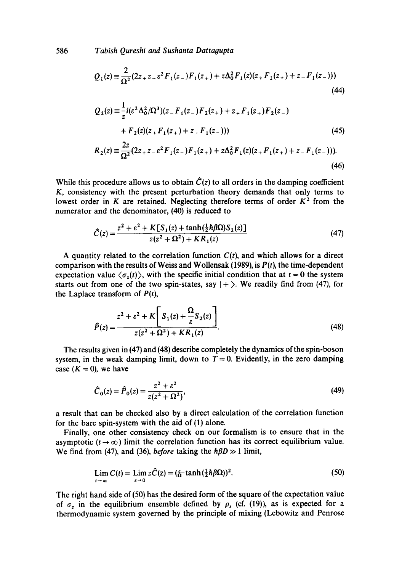586 *Tabish Qureshi and Sushanta Dattagupta* 

$$
Q_1(z) \equiv \frac{2}{\Omega^2} (2z_+ z_- \varepsilon^2 F_1(z_-) F_1(z_+) + z \Delta_0^2 F_1(z) (z_+ F_1(z_+) + z_- F_1(z_-)))
$$
\n(44)

$$
Q_2(z) = \frac{1}{z} i(\varepsilon^2 \Delta_0^2 / \Omega^3)(z - F_1(z_-)F_2(z_+) + z_+ F_1(z_+)F_2(z_-) + F_2(z)(z_+ F_1(z_+) + z_- F_1(z_-)))
$$
(45)  

$$
R_2(z) = \frac{2z}{\Omega^2} (2z_+ z_- \varepsilon^2 F_1(z_-)F_1(z_+) + z\Delta_0^2 F_1(z)(z_+ F_1(z_+) + z_- F_1(z_-))).
$$
(46)

While this procedure allows us to obtain  $\hat{C}(z)$  to all orders in the damping coefficient K, consistency with the present perturbation theory demands that only terms to lowest order in K are retained. Neglecting therefore terms of order  $K^2$  from the numerator and the denominator, (40) is reduced to

$$
\hat{C}(z) = \frac{z^2 + \varepsilon^2 + K[S_1(z) + \tanh(\frac{1}{2}\hbar\beta\Omega)S_2(z)]}{z(z^2 + \Omega^2) + KR_1(z)}
$$
(47)

A quantity related to the correlation function  $C(t)$ , and which allows for a direct comparison with the results of Weiss and Wollensak (1989), is *P(t),* the time-dependent expectation value  $\langle \sigma_z(t) \rangle$ , with the specific initial condition that at  $t = 0$  the system starts out from one of the two spin-states, say  $| + \rangle$ . We readily find from (47), for the Laplace transform of  $P(t)$ ,

$$
\hat{P}(z) = \frac{z^2 + \varepsilon^2 + K \left[ S_1(z) + \frac{\Omega}{\varepsilon} S_2(z) \right]}{z(z^2 + \Omega^2) + KR_1(z)}.
$$
\n(48)

The results given in (47) and (48) describe completely the dynamics of the spin-boson system, in the weak damping limit, down to  $T = 0$ . Evidently, in the zero damping case  $(K = 0)$ , we have

$$
\hat{C}_0(z) = \hat{P}_0(z) = \frac{z^2 + \varepsilon^2}{z(z^2 + \Omega^2)},
$$
\n(49)

a result that can be checked also by a direct calculation of the correlation function for the bare spin-system with the aid of (1) alone.

Finally, one other consistency check on our formalism is to ensure that in the asymptotic ( $t \rightarrow \infty$ ) limit the correlation function has its correct equilibrium value. We find from (47), and (36), *before* taking the  $h\beta D \gg 1$  limit,

$$
\lim_{t \to \infty} C(t) = \lim_{z \to 0} z\hat{C}(z) = \left(\frac{\varepsilon}{\Omega} \tanh\left(\frac{1}{2}\hbar \beta \Omega\right)\right)^2. \tag{50}
$$

The right hand side of (50) has the desired form of the square of the expectation value of  $\sigma_z$  in the equilibrium ensemble defined by  $\rho_s$  (cf. (19)), as is expected for a thermodynamic system governed by the principle of mixing (Lebowitz and Penrose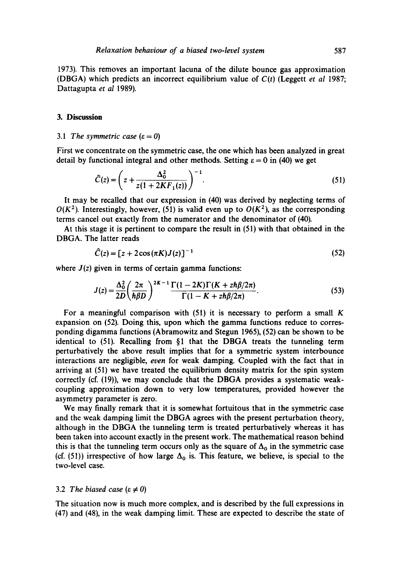1973). This removes an important lacuna of the dilute bounce gas approximation (DBGA) which predicts an incorrect equilibrium value of *C(t)* (Leggett *et al* 1987; Dattagupta *et al* 1989).

#### **3. Discussion**

#### 3.1 The symmetric case  $(\epsilon = 0)$

First we concentrate on the symmetric case, the one which has been analyzed in great detail by functional integral and other methods. Setting  $\varepsilon = 0$  in (40) we get

$$
\hat{C}(z) = \left(z + \frac{\Delta_0^2}{z(1 + 2KF_1(z))}\right)^{-1}.
$$
\n(51)

It may be recalled that our expression in (40) was derived by neglecting terms of  $O(K^2)$ . Interestingly, however, (51) is valid even up to  $O(K^2)$ , as the corresponding terms cancel out exactly from the numerator and the denominator of (40).

At this stage it is pertinent to compare the result in (51) with that obtained in the DBGA. The latter reads

$$
\hat{C}(z) = [z + 2\cos(\pi K)J(z)]^{-1}
$$
\n(52)

where  $J(z)$  given in terms of certain gamma functions:

$$
J(z) = \frac{\Delta_0^2}{2D} \left(\frac{2\pi}{\hbar\beta D}\right)^{2K-1} \frac{\Gamma(1-2K)\Gamma(K+z\hbar\beta/2\pi)}{\Gamma(1-K+z\hbar\beta/2\pi)}.
$$
 (53)

For a meaningful comparison with  $(51)$  it is necessary to perform a small K expansion on (52). Doing this, upon which the gamma functions reduce to corresponding digamma functions (Abramowitz and Stegun 1965), (52) can be shown to be identical to (51). Recalling from §1 that the DBGA treats the tunneling term perturbatively the above result implies that for a symmetric system interbounce interactions are negligible, *even* for weak damping. Coupled with the fact that in arriving at (51) we have treated the equilibrium density matrix for the spin system correctly (cf. (19)), we may conclude that the DBGA provides a systematic weakcoupling approximation down to very low temperatures, provided however the asymmetry parameter is zero.

We may finally remark that it is somewhat fortuitous that in the symmetric case and the weak damping limit the DBGA agrees with the present perturbation theory, although in the DBGA the tunneling term is treated perturbatively whereas it has been taken into account exactly in the present work. The mathematical reason behind this is that the tunneling term occurs only as the square of  $\Delta_0$  in the symmetric case (cf. (51)) irrespective of how large  $\Delta_0$  is. This feature, we believe, is special to the two-level case.

#### 3.2 *The biased case* ( $\varepsilon \neq 0$ )

The situation now is much more complex, and is described by the full expressions in (47) and (48), in the weak damping limit. These are expected to describe the state of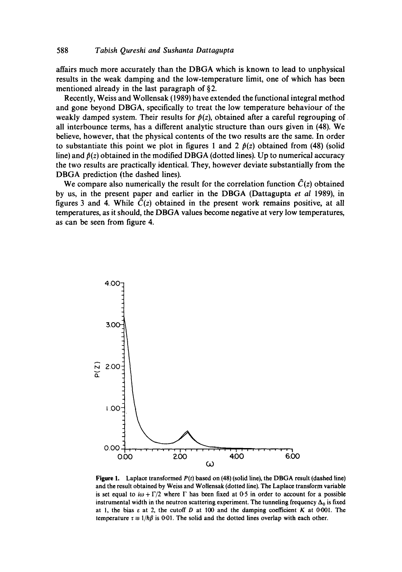affairs much more accurately than the DBGA which is known to lead to unphysical results in the weak damping and the low-temperature limit, one of which has been mentioned already in the last paragraph of  $\S$ 2.

Recently, Weiss and Wollensak (1989) have extended the functional integral method and gone beyond DBGA, specifically to treat the low temperature behaviour of the weakly damped system. Their results for  $\hat{p}(z)$ , obtained after a careful regrouping of all interbounce terms, has a different analytic structure than ours given in (48). We believe, however, that the physical contents of the two results are the same. In order to substantiate this point we plot in figures 1 and 2  $\hat{p}(z)$  obtained from (48) (solid line) and  $\hat{p}(z)$  obtained in the modified DBGA (dotted lines). Up to numerical accuracy the two results are practically identical. They, however deviate substantially from the DBGA prediction (the dashed lines).

We compare also numerically the result for the correlation function  $\hat{C}(z)$  obtained by us, in the present paper and earlier in the DBGA (Dattagupta *et al* 1989), in figures 3 and 4. While  $\hat{C}(z)$  obtained in the present work remains positive, at all temperatures, as it should, the DBGA values become negative at very low temperatures, as can be seen from figure 4.



**Figure 1.** Laplace transformed *P(t)* based on **(48) (solid line), the DBGA result (dashed** line) and the result obtained by Weiss and Wollensak (dotted line). The Laplace transform variable is set equal to  $i\omega + \Gamma/2$  where  $\Gamma$  has been fixed at 0-5 in order to account for a possible instrumental width in the neutron scattering experiment. The tunneling frequency  $\Delta_0$  is fixed at 1, the bias  $\varepsilon$  at 2, the cutoff D at 100 and the damping coefficient K at 0.001. The temperature  $\tau \equiv 1/h\beta$  is 0-01. The solid and the dotted lines overlap with each other.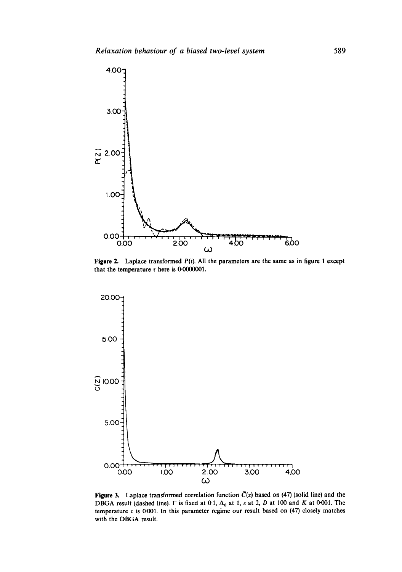

Figure 2. Laplace transformed *P(t).* All the parameters are the same as in figure 1 except that the temperature  $\tau$  here is 0.0000001.



Figure 3. Laplace transformed correlation function  $\hat{C}(z)$  based on (47) (solid line) and the DBGA result (dashed line).  $\Gamma$  is fixed at 0-1,  $\Delta_0$  at 1,  $\varepsilon$  at 2, D at 100 and K at 0-001. The temperature  $\tau$  is 0-001. In this parameter regime our result based on (47) closely matches with the DBGA result.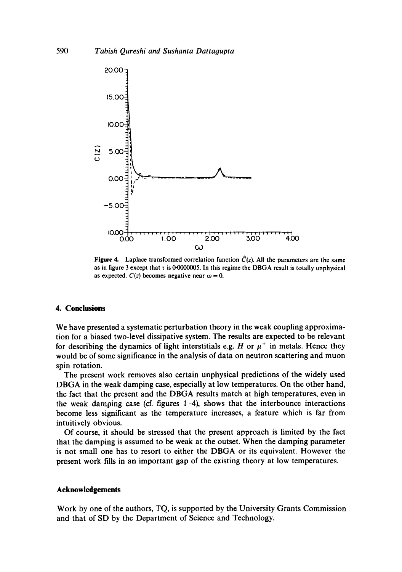

Figure 4. Laplace transformed correlation function  $\hat{C}(z)$ . All the parameters are the same as in figure 3 except that  $\tau$  is 0.0000005. In this regime the DBGA result is totally unphysical as expected.  $C(z)$  becomes negative near  $\omega = 0$ .

## **4. Conclusions**

We have presented a systematic perturbation theory in the weak coupling approximation for a biased two-level dissipative system. The results are expected to be relevant for describing the dynamics of light interstitials e.g. H or  $\mu^+$  in metals. Hence they would be of some significance in the analysis of data on neutron scattering and muon spin rotation.

The present work removes also certain unphysical predictions of the widely used DBGA in the weak damping case, especially at low temperatures. On the other hand, the fact that the present and the DBGA results match at high temperatures, even in the weak damping case (cf. figures 1-4), shows that the interbounce interactions become less significant as the temperature increases, a feature which is far from intuitively obvious.

Of course, it should be stressed that the present approach is limited by the fact that the damping is assumed to be weak at the outset. When the damping parameter is not small one has to resort to either the DBGA or its equivalent. However the present work fills in an important gap of the existing theory at low temperatures.

#### **Acknowledgements**

Work by one of the authors, TQ, is supported by the University Grants Commission and that of SD by the Department of Science and Technology.